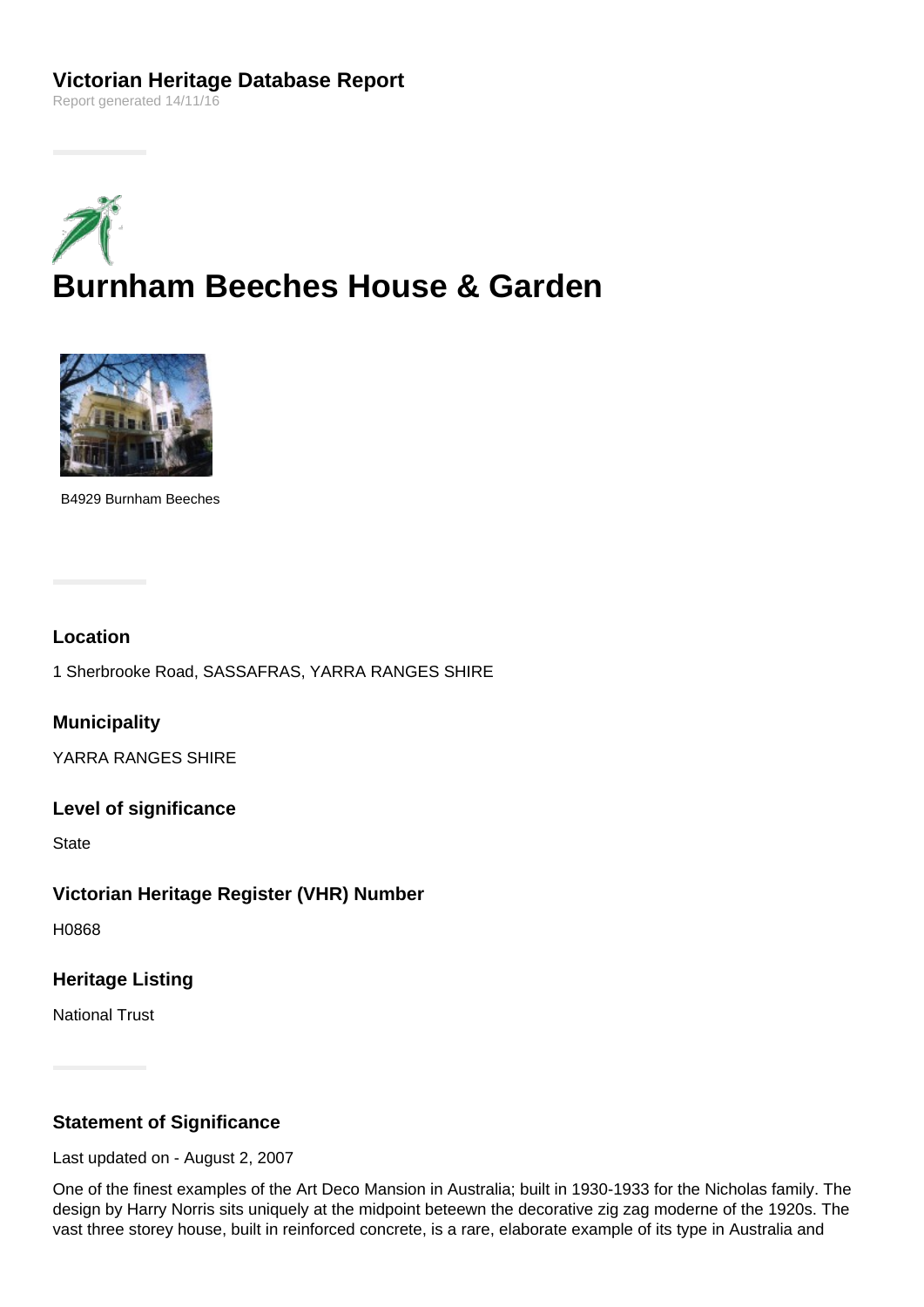# **Victorian Heritage Database Report**

Report generated 14/11/16





B4929 Burnham Beeches

#### **Location**

1 Sherbrooke Road, SASSAFRAS, YARRA RANGES SHIRE

**Municipality**

YARRA RANGES SHIRE

#### **Level of significance**

**State** 

#### **Victorian Heritage Register (VHR) Number**

H0868

### **Heritage Listing**

National Trust

## **Statement of Significance**

Last updated on - August 2, 2007

One of the finest examples of the Art Deco Mansion in Australia; built in 1930-1933 for the Nicholas family. The design by Harry Norris sits uniquely at the midpoint beteewn the decorative zig zag moderne of the 1920s. The vast three storey house, built in reinforced concrete, is a rare, elaborate example of its type in Australia and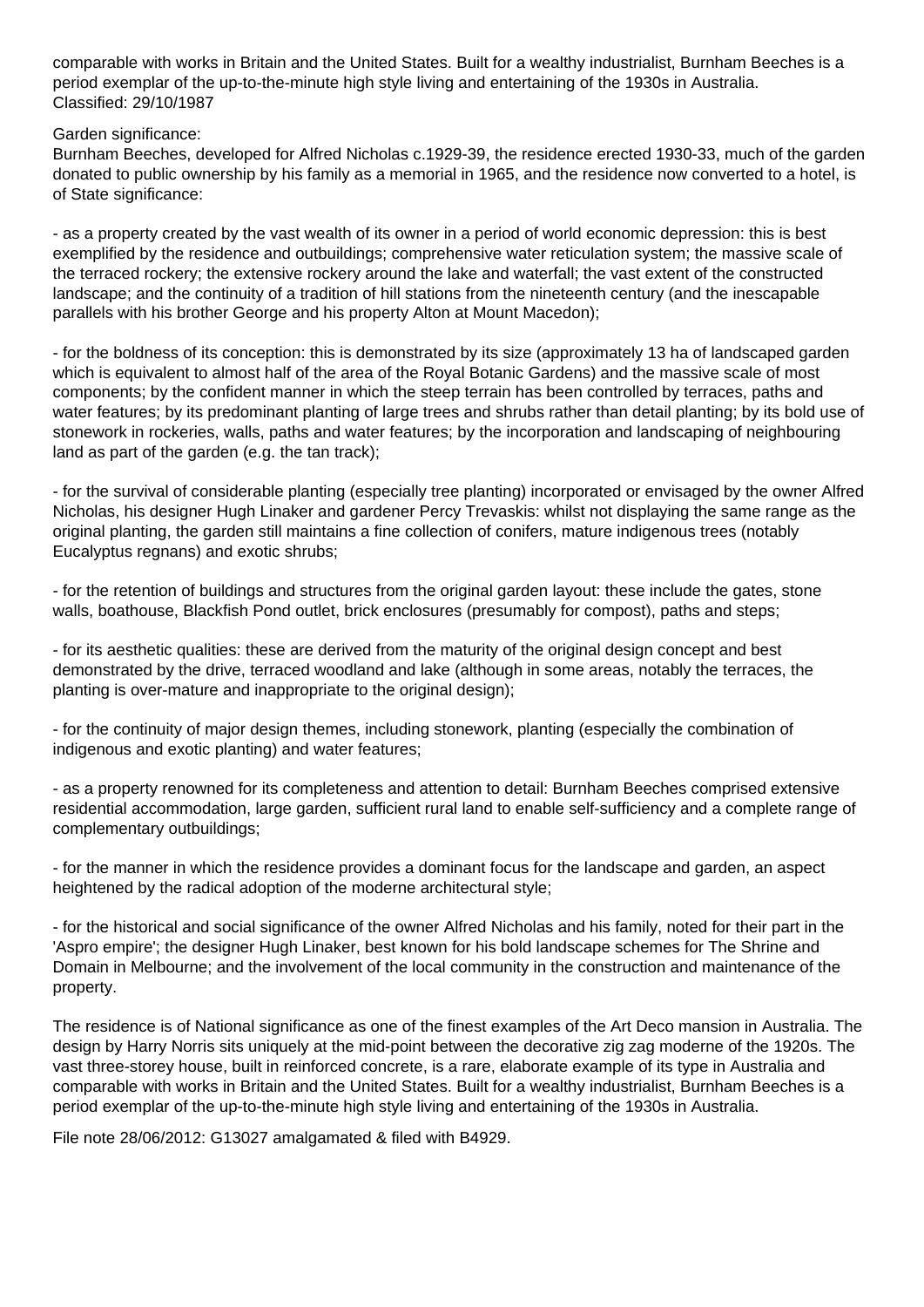comparable with works in Britain and the United States. Built for a wealthy industrialist, Burnham Beeches is a period exemplar of the up-to-the-minute high style living and entertaining of the 1930s in Australia. Classified: 29/10/1987

Garden significance:

Burnham Beeches, developed for Alfred Nicholas c.1929-39, the residence erected 1930-33, much of the garden donated to public ownership by his family as a memorial in 1965, and the residence now converted to a hotel, is of State significance:

- as a property created by the vast wealth of its owner in a period of world economic depression: this is best exemplified by the residence and outbuildings; comprehensive water reticulation system; the massive scale of the terraced rockery; the extensive rockery around the lake and waterfall; the vast extent of the constructed landscape; and the continuity of a tradition of hill stations from the nineteenth century (and the inescapable parallels with his brother George and his property Alton at Mount Macedon);

- for the boldness of its conception: this is demonstrated by its size (approximately 13 ha of landscaped garden which is equivalent to almost half of the area of the Royal Botanic Gardens) and the massive scale of most components; by the confident manner in which the steep terrain has been controlled by terraces, paths and water features; by its predominant planting of large trees and shrubs rather than detail planting; by its bold use of stonework in rockeries, walls, paths and water features; by the incorporation and landscaping of neighbouring land as part of the garden (e.g. the tan track);

- for the survival of considerable planting (especially tree planting) incorporated or envisaged by the owner Alfred Nicholas, his designer Hugh Linaker and gardener Percy Trevaskis: whilst not displaying the same range as the original planting, the garden still maintains a fine collection of conifers, mature indigenous trees (notably Eucalyptus regnans) and exotic shrubs;

- for the retention of buildings and structures from the original garden layout: these include the gates, stone walls, boathouse, Blackfish Pond outlet, brick enclosures (presumably for compost), paths and steps;

- for its aesthetic qualities: these are derived from the maturity of the original design concept and best demonstrated by the drive, terraced woodland and lake (although in some areas, notably the terraces, the planting is over-mature and inappropriate to the original design);

- for the continuity of major design themes, including stonework, planting (especially the combination of indigenous and exotic planting) and water features;

- as a property renowned for its completeness and attention to detail: Burnham Beeches comprised extensive residential accommodation, large garden, sufficient rural land to enable self-sufficiency and a complete range of complementary outbuildings;

- for the manner in which the residence provides a dominant focus for the landscape and garden, an aspect heightened by the radical adoption of the moderne architectural style;

- for the historical and social significance of the owner Alfred Nicholas and his family, noted for their part in the 'Aspro empire'; the designer Hugh Linaker, best known for his bold landscape schemes for The Shrine and Domain in Melbourne; and the involvement of the local community in the construction and maintenance of the property.

The residence is of National significance as one of the finest examples of the Art Deco mansion in Australia. The design by Harry Norris sits uniquely at the mid-point between the decorative zig zag moderne of the 1920s. The vast three-storey house, built in reinforced concrete, is a rare, elaborate example of its type in Australia and comparable with works in Britain and the United States. Built for a wealthy industrialist, Burnham Beeches is a period exemplar of the up-to-the-minute high style living and entertaining of the 1930s in Australia.

File note 28/06/2012: G13027 amalgamated & filed with B4929.